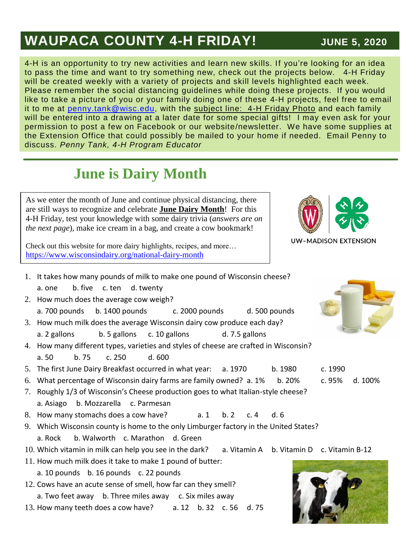## **WAUPACA COUNTY 4-H FRIDAY!** JUNE 5, 2020

#### 4-H is an opportunity to try new activities and learn new skills. If you're looking for an idea to pass the time and want to try something new, check out the projects below. 4-H Friday will be created weekly with a variety of projects and skill levels highlighted each week. Please remember the social distancing guidelines while doing these projects. If you would like to take a picture of you or your family doing one of these 4-H projects, feel free to email it to me at [penny.tank@wisc.edu,](mailto:penny.tank@wisc.edu) with the subject line: 4-H Friday Photo and each family will be entered into a drawing at a later date for some special gifts! I may even ask for your permission to post a few on Facebook or our website/newsletter. We have some supplies at the Extension Office that could possibly be mailed to your home if needed. Email Penny to discuss. *Penny Tank, 4-H Program Educator*

# **June is Dairy Month**

#### As we enter the month of June and continue physical distancing, there are still ways to recognize and celebrate **June Dairy Month**! For this 4-H Friday, test your knowledge with some dairy trivia (*answers are on the next page*), make ice cream in a bag, and create a cow bookmark!

Check out this website for more dairy highlights, recipes, and more… <https://www.wisconsindairy.org/national-dairy-month>

- 1. It takes how many pounds of milk to make one pound of Wisconsin cheese? a. one b. five c. ten d. twenty
- 2. How much does the average cow weigh?
- a. 700 pounds b. 1400 pounds c. 2000 pounds d. 500 pounds 3. How much milk does the average Wisconsin dairy cow produce each day?
	- a. 2 gallons b. 5 gallons c. 10 gallons d. 7.5 gallons
- 4. How many different types, varieties and styles of cheese are crafted in Wisconsin? a. 50 b. 75 c. 250 d. 600
- 5. The first June Dairy Breakfast occurred in what year: a. 1970 b. 1980 c. 1990
- 6. What percentage of Wisconsin dairy farms are family owned? a. 1% b. 20% c. 95% d. 100%
- 7. Roughly 1/3 of Wisconsin's Cheese production goes to what Italian-style cheese? a. Asiago b. Mozzarella c. Parmesan
- 8. How many stomachs does a cow have? a. 1 b. 2 c. 4 d. 6
- 9. Which Wisconsin county is home to the only Limburger factory in the United States? a. Rock b. Walworth c. Marathon d. Green
- 10. Which vitamin in milk can help you see in the dark? a. Vitamin A b. Vitamin D c. Vitamin B-12
- 11. How much milk does it take to make 1 pound of butter: a. 10 pounds b. 16 pounds c. 22 pounds
- 12. Cows have an acute sense of smell, how far can they smell? a. Two feet away b. Three miles away c. Six miles away
- 13. How many teeth does a cow have? a. 12 b. 32 c. 56 d. 75



**UW-MADISON EXTENSION**